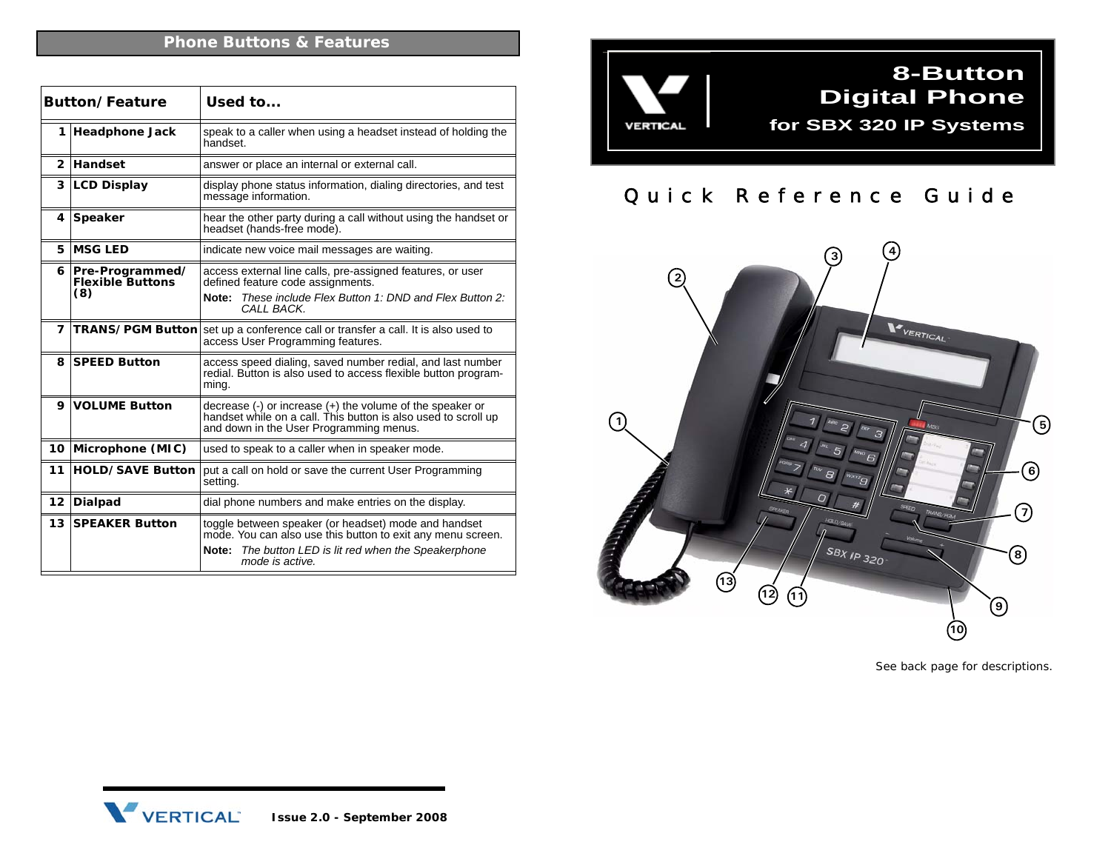|              | Button/Feature                                        | Used to                                                                                                                                                                                            |  |  |
|--------------|-------------------------------------------------------|----------------------------------------------------------------------------------------------------------------------------------------------------------------------------------------------------|--|--|
| 1            | <b>Headphone Jack</b>                                 | speak to a caller when using a headset instead of holding the<br>handset.                                                                                                                          |  |  |
| $\mathbf{2}$ | Handset                                               | answer or place an internal or external call.                                                                                                                                                      |  |  |
| 3            | <b>LCD Display</b>                                    | display phone status information, dialing directories, and test<br>message information.                                                                                                            |  |  |
| 4            | Speaker                                               | hear the other party during a call without using the handset or<br>headset (hands-free mode).                                                                                                      |  |  |
| 5            | <b>MSG LED</b>                                        | indicate new voice mail messages are waiting.                                                                                                                                                      |  |  |
|              | 6   Pre-Programmed/<br><b>Flexible Buttons</b><br>(8) | access external line calls, pre-assigned features, or user<br>defined feature code assignments.<br>These include Flex Button 1: DND and Flex Button 2:<br>Note:<br>CALL BACK.                      |  |  |
| 7            | <b>TRANS/PGM Button</b>                               | set up a conference call or transfer a call. It is also used to<br>access User Programming features.                                                                                               |  |  |
| 8            | <b>SPEED Button</b>                                   | access speed dialing, saved number redial, and last number<br>redial. Button is also used to access flexible button program-<br>ming.                                                              |  |  |
| 9            | <b>VOLUME Button</b>                                  | decrease (-) or increase (+) the volume of the speaker or<br>handset while on a call. This button is also used to scroll up<br>and down in the User Programming menus.                             |  |  |
| 10           | Microphone (MIC)                                      | used to speak to a caller when in speaker mode.                                                                                                                                                    |  |  |
| 11           | <b>HOLD/SAVE Button</b>                               | put a call on hold or save the current User Programming<br>setting.                                                                                                                                |  |  |
| 12           | <b>Dialpad</b>                                        | dial phone numbers and make entries on the display.                                                                                                                                                |  |  |
| 13           | <b>SPEAKER Button</b>                                 | toggle between speaker (or headset) mode and handset<br>mode. You can also use this button to exit any menu screen.<br>Note:<br>The button LED is lit red when the Speakerphone<br>mode is active. |  |  |



## Quick Reference Guide



*See back page for descriptions.*